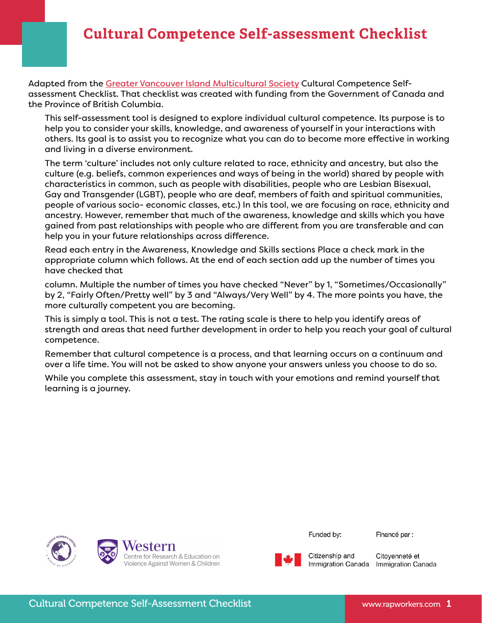## **Cultural Competence Self-assessment Checklist**

Adapted from the [Greater Vancouver Island Multicultural Society](http://www.cvims.org/) Cultural Competence Selfassessment Checklist. That checklist was created with funding from the Government of Canada and the Province of British Columbia.

This self-assessment tool is designed to explore individual cultural competence. Its purpose is to help you to consider your skills, knowledge, and awareness of yourself in your interactions with others. Its goal is to assist you to recognize what you can do to become more effective in working and living in a diverse environment.

The term 'culture' includes not only culture related to race, ethnicity and ancestry, but also the culture (e.g. beliefs, common experiences and ways of being in the world) shared by people with characteristics in common, such as people with disabilities, people who are Lesbian Bisexual, Gay and Transgender (LGBT), people who are deaf, members of faith and spiritual communities, people of various socio- economic classes, etc.) In this tool, we are focusing on race, ethnicity and ancestry. However, remember that much of the awareness, knowledge and skills which you have gained from past relationships with people who are different from you are transferable and can help you in your future relationships across difference.

Read each entry in the Awareness, Knowledge and Skills sections Place a check mark in the appropriate column which follows. At the end of each section add up the number of times you have checked that

column. Multiple the number of times you have checked "Never" by 1, "Sometimes/Occasionally" by 2, "Fairly Often/Pretty well" by 3 and "Always/Very Well" by 4. The more points you have, the more culturally competent you are becoming.

This is simply a tool. This is not a test. The rating scale is there to help you identify areas of strength and areas that need further development in order to help you reach your goal of cultural competence.

Remember that cultural competence is a process, and that learning occurs on a continuum and over a life time. You will not be asked to show anyone your answers unless you choose to do so.

While you complete this assessment, stay in touch with your emotions and remind yourself that learning is a journey.



Funded by:

Financé par :



Citizenship and Immigration Canada Immigration Canada

Citoyenneté et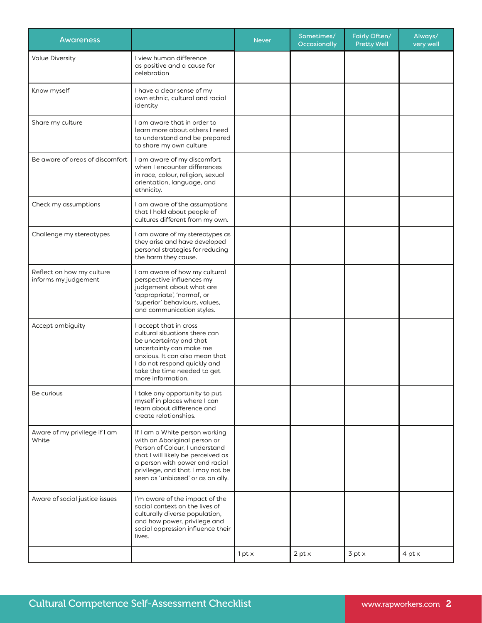| <b>Awareness</b>                                  |                                                                                                                                                                                                                                                   | <b>Never</b>    | Sometimes/<br>Occasionally | Fairly Often/<br><b>Pretty Well</b> | Always/<br>very well |
|---------------------------------------------------|---------------------------------------------------------------------------------------------------------------------------------------------------------------------------------------------------------------------------------------------------|-----------------|----------------------------|-------------------------------------|----------------------|
| <b>Value Diversity</b>                            | I view human difference<br>as positive and a cause for<br>celebration                                                                                                                                                                             |                 |                            |                                     |                      |
| Know myself                                       | I have a clear sense of my<br>own ethnic, cultural and racial<br>identity                                                                                                                                                                         |                 |                            |                                     |                      |
| Share my culture                                  | I am aware that in order to<br>learn more about others I need<br>to understand and be prepared<br>to share my own culture                                                                                                                         |                 |                            |                                     |                      |
| Be aware of areas of discomfort                   | I am aware of my discomfort<br>when I encounter differences<br>in race, colour, religion, sexual<br>orientation, language, and<br>ethnicity.                                                                                                      |                 |                            |                                     |                      |
| Check my assumptions                              | I am aware of the assumptions<br>that I hold about people of<br>cultures different from my own.                                                                                                                                                   |                 |                            |                                     |                      |
| Challenge my stereotypes                          | I am aware of my stereotypes as<br>they arise and have developed<br>personal strategies for reducing<br>the harm they cause.                                                                                                                      |                 |                            |                                     |                      |
| Reflect on how my culture<br>informs my judgement | I am aware of how my cultural<br>perspective influences my<br>judgement about what are<br>'appropriate', 'normal', or<br>'superior' behaviours, values,<br>and communication styles.                                                              |                 |                            |                                     |                      |
| Accept ambiguity                                  | I accept that in cross<br>cultural situations there can<br>be uncertainty and that<br>uncertainty can make me<br>anxious. It can also mean that<br>I do not respond quickly and<br>take the time needed to get<br>more information.               |                 |                            |                                     |                      |
| Be curious                                        | I take any opportunity to put<br>myself in places where I can<br>learn about difference and<br>create relationships.                                                                                                                              |                 |                            |                                     |                      |
| Aware of my privilege if I am<br>White            | If I am a White person working<br>with an Aboriginal person or<br>Person of Colour, I understand<br>that I will likely be perceived as<br>a person with power and racial<br>privilege, and that I may not be<br>seen as 'unbiased' or as an ally. |                 |                            |                                     |                      |
| Aware of social justice issues                    | I'm aware of the impact of the<br>social context on the lives of<br>culturally diverse population,<br>and how power, privilege and<br>social oppression influence their<br>lives.                                                                 |                 |                            |                                     |                      |
|                                                   |                                                                                                                                                                                                                                                   | $1$ pt $\times$ | 2 pt x                     | $3$ pt $\times$                     | 4 pt x               |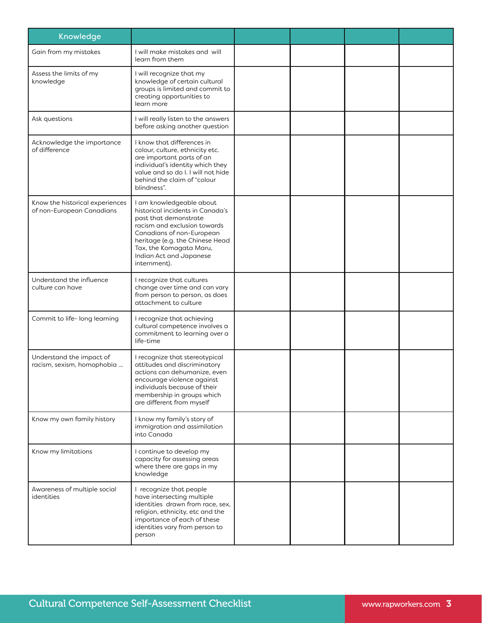| Knowledge                                                    |                                                                                                                                                                                                                                                             |  |  |
|--------------------------------------------------------------|-------------------------------------------------------------------------------------------------------------------------------------------------------------------------------------------------------------------------------------------------------------|--|--|
| Gain from my mistakes                                        | I will make mistakes and will<br>learn from them                                                                                                                                                                                                            |  |  |
| Assess the limits of my<br>knowledge                         | I will recognize that my<br>knowledge of certain cultural<br>groups is limited and commit to<br>creating opportunities to<br>learn more                                                                                                                     |  |  |
| Ask questions                                                | I will really listen to the answers<br>before asking another question                                                                                                                                                                                       |  |  |
| Acknowledge the importance<br>of difference                  | I know that differences in<br>colour, culture, ethnicity etc.<br>are important parts of an<br>individual's identity which they<br>value and so do I. I will not hide<br>behind the claim of "colour<br>blindness".                                          |  |  |
| Know the historical experiences<br>of non-European Canadians | I am knowledgeable about<br>historical incidents in Canada's<br>past that demonstrate<br>racism and exclusion towards<br>Canadians of non-European<br>heritage (e.g. the Chinese Head<br>Tax, the Komagata Maru,<br>Indian Act and Japanese<br>internment). |  |  |
| Understand the influence<br>culture can have                 | I recognize that cultures<br>change over time and can vary<br>from person to person, as does<br>attachment to culture                                                                                                                                       |  |  |
| Commit to life- long learning                                | I recognize that achieving<br>cultural competence involves a<br>commitment to learning over a<br>life-time                                                                                                                                                  |  |  |
| Understand the impact of<br>racism, sexism, homophobia       | I recognize that stereotypical<br>attitudes and discriminatory<br>actions can dehumanize, even<br>encourage violence against<br>individuals because of their<br>membership in groups which<br>are different from myself                                     |  |  |
| Know my own family history                                   | I know my family's story of<br>immigration and assimilation<br>into Canada                                                                                                                                                                                  |  |  |
| Know my limitations                                          | I continue to develop my<br>capacity for assessing areas<br>where there are gaps in my<br>knowledge                                                                                                                                                         |  |  |
| Awareness of multiple social<br>identities                   | I recognize that people<br>have intersecting multiple<br>identities drawn from race, sex,<br>religion, ethnicity, etc and the<br>importance of each of these<br>identities vary from person to<br>person                                                    |  |  |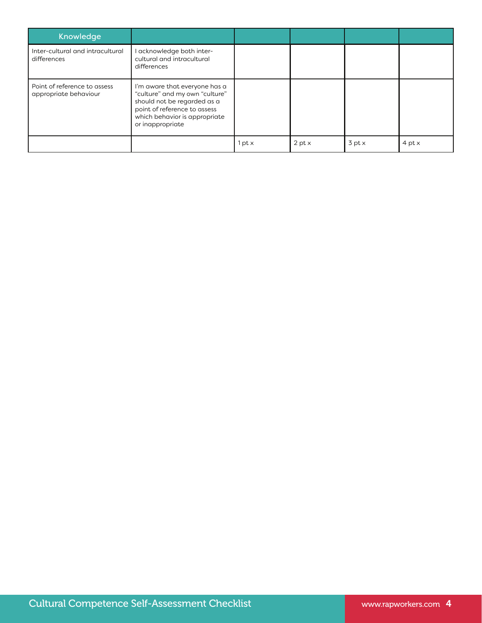| <b>Knowledge</b>                                      |                                                                                                                                                                                     |        |                 |                 |                 |
|-------------------------------------------------------|-------------------------------------------------------------------------------------------------------------------------------------------------------------------------------------|--------|-----------------|-----------------|-----------------|
| Inter-cultural and intracultural<br>differences       | I acknowledge both inter-<br>cultural and intracultural<br>differences                                                                                                              |        |                 |                 |                 |
| Point of reference to assess<br>appropriate behaviour | I'm aware that everyone has a<br>"culture" and my own "culture"<br>should not be regarded as a<br>point of reference to assess<br>which behavior is appropriate<br>or inappropriate |        |                 |                 |                 |
|                                                       |                                                                                                                                                                                     | l pt x | $2$ pt $\times$ | $3$ pt $\times$ | $4$ pt $\times$ |